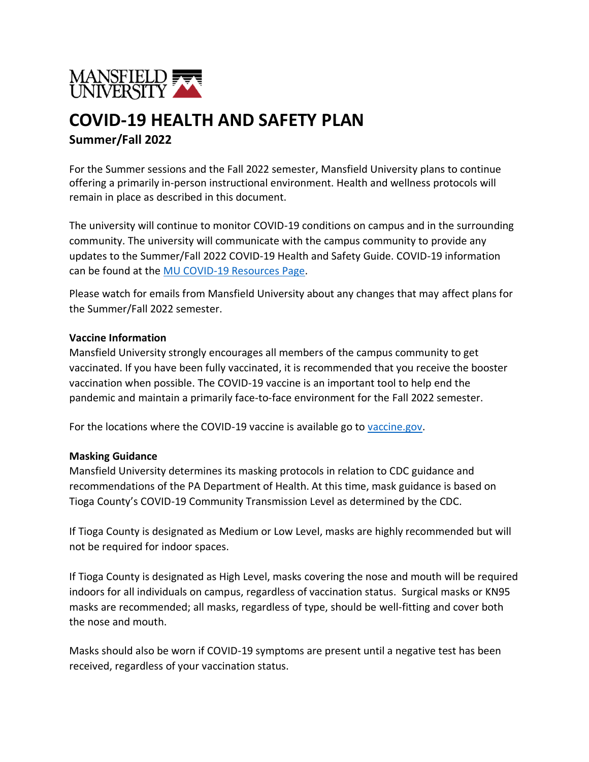

# **COVID-19 HEALTH AND SAFETY PLAN Summer/Fall 2022**

For the Summer sessions and the Fall 2022 semester, Mansfield University plans to continue offering a primarily in-person instructional environment. Health and wellness protocols will remain in place as described in this document.

The university will continue to monitor COVID-19 conditions on campus and in the surrounding community. The university will communicate with the campus community to provide any updates to the Summer/Fall 2022 COVID-19 Health and Safety Guide. COVID-19 information can be found at the [MU COVID-19 Resources](https://www.mansfield.edu/covid/) Page.

Please watch for emails from Mansfield University about any changes that may affect plans for the Summer/Fall 2022 semester.

### **Vaccine Information**

Mansfield University strongly encourages all members of the campus community to get vaccinated. If you have been fully vaccinated, it is recommended that you receive the booster vaccination when possible. The COVID-19 vaccine is an important tool to help end the pandemic and maintain a primarily face-to-face environment for the Fall 2022 semester.

For the locations where the COVID-19 vaccine is available go to [vaccine.gov.](https://www.vaccines.gov/)

### **Masking Guidance**

Mansfield University determines its masking protocols in relation to CDC guidance and recommendations of the PA Department of Health. At this time, mask guidance is based on Tioga County's COVID-19 Community Transmission Level as determined by the CDC.

If Tioga County is designated as Medium or Low Level, masks are highly recommended but will not be required for indoor spaces.

If Tioga County is designated as High Level, masks covering the nose and mouth will be required indoors for all individuals on campus, regardless of vaccination status. Surgical masks or KN95 masks are recommended; all masks, regardless of type, should be well-fitting and cover both the nose and mouth.

Masks should also be worn if COVID-19 symptoms are present until a negative test has been received, regardless of your vaccination status.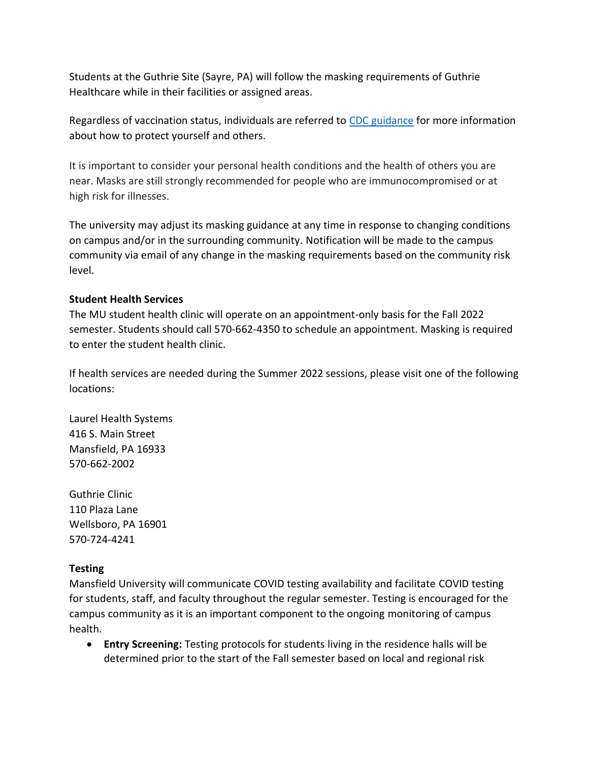Students at the Guthrie Site (Sayre, PA) will follow the masking requirements of Guthrie Healthcare while in their facilities or assigned areas.

Regardless of vaccination status, individuals are referred to CDC [guidance](https://www.cdc.gov/coronavirus/2019-ncov/prevent-getting-sick/cloth-face-cover-guidance.html) for more information about how to protect yourself and others.

It is important to consider your personal health conditions and the health of others you are near. Masks are still strongly recommended for people who are immunocompromised or at high risk for illnesses.

The university may adjust its masking guidance at any time in response to changing conditions on campus and/or in the surrounding community. Notification will be made to the campus community via email of any change in the masking requirements based on the community risk level.

# **Student Health Services**

The MU student health clinic will operate on an appointment-only basis for the Fall 2022 semester. Students should call 570-662-4350 to schedule an appointment. Masking is required to enter the student health clinic.

If health services are needed during the Summer 2022 sessions, please visit one of the following locations:

Laurel Health Systems 416 S. Main Street Mansfield, PA 16933 570-662-2002

Guthrie Clinic 110 Plaza Lane Wellsboro, PA 16901 570-724-4241

# **Testing**

Mansfield University will communicate COVID testing availability and facilitate COVID testing for students, staff, and faculty throughout the regular semester. Testing is encouraged for the campus community as it is an important component to the ongoing monitoring of campus health.

• **Entry Screening:** Testing protocols for students living in the residence halls will be determined prior to the start of the Fall semester based on local and regional risk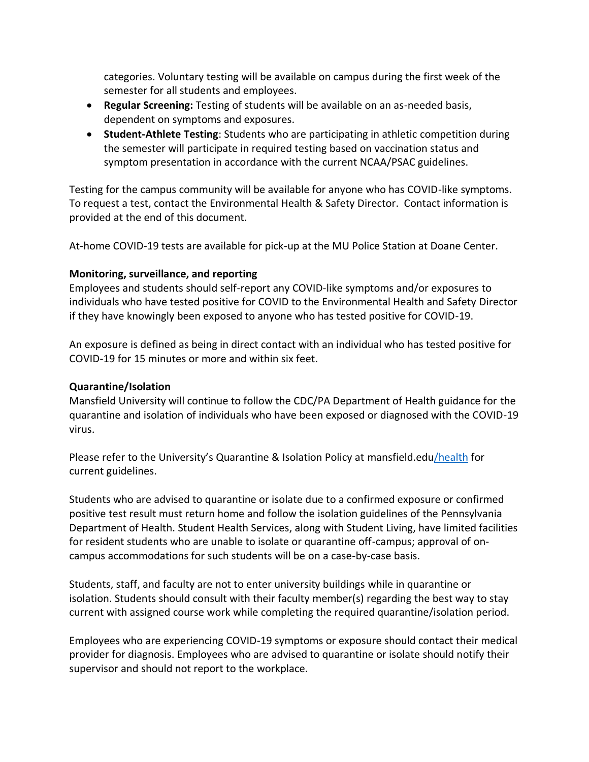categories. Voluntary testing will be available on campus during the first week of the semester for all students and employees.

- **Regular Screening:** Testing of students will be available on an as-needed basis, dependent on symptoms and exposures.
- **Student-Athlete Testing**: Students who are participating in athletic competition during the semester will participate in required testing based on vaccination status and symptom presentation in accordance with the current NCAA/PSAC guidelines.

Testing for the campus community will be available for anyone who has COVID-like symptoms. To request a test, contact the [Environmental Health & Safety Director.](mailto:jwelch@mansfield.edu) Contact information is provided at the end of this document.

At-home COVID-19 tests are available for pick-up at the MU Police Station at Doane Center.

# **Monitoring, surveillance, and reporting**

Employees and students should self-report any COVID-like symptoms and/or exposures to individuals who have tested positive for COVID to the Environmental Health and Safety Director if they have knowingly been exposed to anyone who has tested positive for COVID-19.

An exposure is defined as being in direct contact with an individual who has tested positive for COVID-19 for 15 minutes or more and within six feet.

## **Quarantine/Isolation**

Mansfield University will continue to follow the CDC/PA Department of Health guidance for the quarantine and isolation of individuals who have been exposed or diagnosed with the COVID-19 virus.

Please refer to the University's Quarantine & Isolation Policy at [mansfield.edu/health](http://www.mansfield.edu/health) for current guidelines.

Students who are advised to quarantine or isolate due to a confirmed exposure or confirmed positive test result must return home and follow the isolation guidelines of the Pennsylvania Department of Health. Student Health Services, along with Student Living, have limited facilities for resident students who are unable to isolate or quarantine off-campus; approval of oncampus accommodations for such students will be on a case-by-case basis.

Students, staff, and faculty are not to enter university buildings while in quarantine or isolation. Students should consult with their faculty member(s) regarding the best way to stay current with assigned course work while completing the required quarantine/isolation period.

Employees who are experiencing COVID-19 symptoms or exposure should contact their medical provider for diagnosis. Employees who are advised to quarantine or isolate should notify their supervisor and should not report to the workplace.